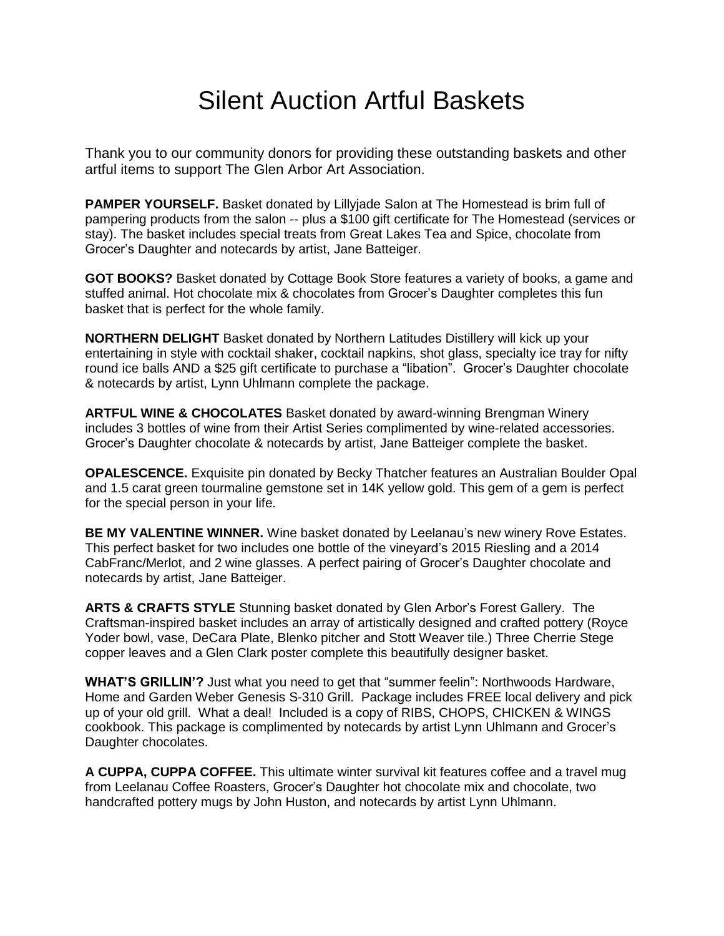## Silent Auction Artful Baskets

Thank you to our community donors for providing these outstanding baskets and other artful items to support The Glen Arbor Art Association.

**PAMPER YOURSELF.** Basket donated by Lillyjade Salon at The Homestead is brim full of pampering products from the salon -- plus a \$100 gift certificate for The Homestead (services or stay). The basket includes special treats from Great Lakes Tea and Spice, chocolate from Grocer's Daughter and notecards by artist, Jane Batteiger.

**GOT BOOKS?** Basket donated by Cottage Book Store features a variety of books, a game and stuffed animal. Hot chocolate mix & chocolates from Grocer's Daughter completes this fun basket that is perfect for the whole family.

**NORTHERN DELIGHT** Basket donated by Northern Latitudes Distillery will kick up your entertaining in style with cocktail shaker, cocktail napkins, shot glass, specialty ice tray for nifty round ice balls AND a \$25 gift certificate to purchase a "libation". Grocer's Daughter chocolate & notecards by artist, Lynn Uhlmann complete the package.

**ARTFUL WINE & CHOCOLATES** Basket donated by award-winning Brengman Winery includes 3 bottles of wine from their Artist Series complimented by wine-related accessories. Grocer's Daughter chocolate & notecards by artist, Jane Batteiger complete the basket.

**OPALESCENCE.** Exquisite pin donated by Becky Thatcher features an Australian Boulder Opal and 1.5 carat green tourmaline gemstone set in 14K yellow gold. This gem of a gem is perfect for the special person in your life.

**BE MY VALENTINE WINNER.** Wine basket donated by Leelanau's new winery Rove Estates. This perfect basket for two includes one bottle of the vineyard's 2015 Riesling and a 2014 CabFranc/Merlot, and 2 wine glasses. A perfect pairing of Grocer's Daughter chocolate and notecards by artist, Jane Batteiger.

**ARTS & CRAFTS STYLE** Stunning basket donated by Glen Arbor's Forest Gallery. The Craftsman-inspired basket includes an array of artistically designed and crafted pottery (Royce Yoder bowl, vase, DeCara Plate, Blenko pitcher and Stott Weaver tile.) Three Cherrie Stege copper leaves and a Glen Clark poster complete this beautifully designer basket.

**WHAT'S GRILLIN'?** Just what you need to get that "summer feelin": Northwoods Hardware, Home and Garden Weber Genesis S-310 Grill. Package includes FREE local delivery and pick up of your old grill. What a deal! Included is a copy of RIBS, CHOPS, CHICKEN & WINGS cookbook. This package is complimented by notecards by artist Lynn Uhlmann and Grocer's Daughter chocolates.

**A CUPPA, CUPPA COFFEE.** This ultimate winter survival kit features coffee and a travel mug from Leelanau Coffee Roasters, Grocer's Daughter hot chocolate mix and chocolate, two handcrafted pottery mugs by John Huston, and notecards by artist Lynn Uhlmann.